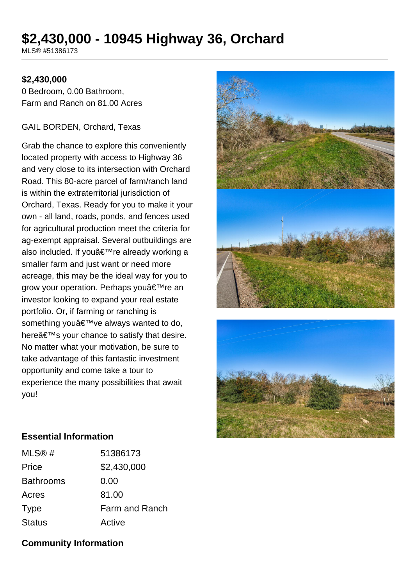# **\$2,430,000 - 10945 Highway 36, Orchard**

MLS® #51386173

### **\$2,430,000**

0 Bedroom, 0.00 Bathroom, Farm and Ranch on 81.00 Acres

#### GAIL BORDEN, Orchard, Texas

Grab the chance to explore this conveniently located property with access to Highway 36 and very close to its intersection with Orchard Road. This 80-acre parcel of farm/ranch land is within the extraterritorial jurisdiction of Orchard, Texas. Ready for you to make it your own - all land, roads, ponds, and fences used for agricultural production meet the criteria for ag-exempt appraisal. Several outbuildings are also included. If you're already working a smaller farm and just want or need more acreage, this may be the ideal way for you to grow your operation. Perhaps you're an investor looking to expand your real estate portfolio. Or, if farming or ranching is something you've always wanted to do, here $\hat{a} \in \mathbb{N}$  your chance to satisfy that desire. No matter what your motivation, be sure to take advantage of this fantastic investment opportunity and come take a tour to experience the many possibilities that await you!





### **Essential Information**

| MLS@#            | 51386173       |
|------------------|----------------|
| Price            | \$2,430,000    |
| <b>Bathrooms</b> | 0.00           |
| Acres            | 81.00          |
| <b>Type</b>      | Farm and Ranch |
| <b>Status</b>    | Active         |

### **Community Information**